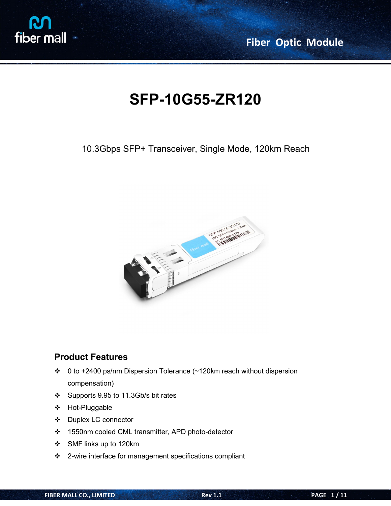

# **SFP-10G55-ZR120**

10.3Gbps SFP+ Transceiver, Single Mode, 120km Reach



#### **Product Features**

- 0 to +2400 ps/nm Dispersion Tolerance (~120km reach without dispersion compensation)
- Supports 9.95 to 11.3Gb/s bit rates
- Hot-Pluggable
- Duplex LC connector
- 1550nm cooled CML transmitter,APD photo-detector
- SMF links up to 120km
- 2-wire interface for management specifications compliant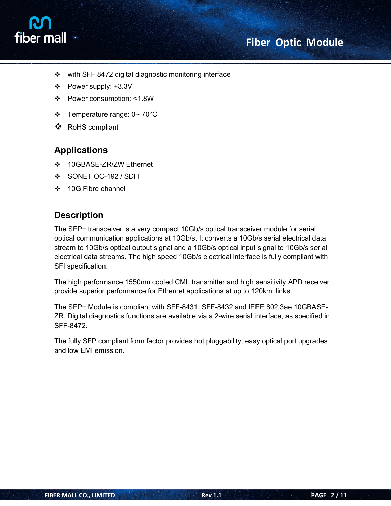# fiber mall

- $\div$  with SFF 8472 digital diagnostic monitoring interface
- Power supply: +3.3V
- Power consumption: <1.8W
- $\div$  Temperature range:  $0 \sim 70^{\circ}$ C
- RoHS compliant

#### **Applications**

- ❖ 10GBASE-ZR/ZW Ethernet
- SONET OC-192 / SDH
- ❖ 10G Fibre channel

#### **Description**

The SFP+ transceiver is a very compact 10Gb/s optical transceiver module for serial optical communication applications at 10Gb/s. It converts a 10Gb/s serial electrical data stream to 10Gb/s optical output signal and a 10Gb/s optical input signal to 10Gb/s serial electrical data streams. The high speed 10Gb/s electrical interface is fully compliant with SFI specification.

The high performance 1550nm cooled CML transmitter and high sensitivity APD receiver provide superior performance for Ethernet applications at up to 120km links.

The SFP+ Module is compliant with SFF-8431, SFF-8432 and IEEE 802.3ae 10GBASE- ZR. Digital diagnostics functions are available via a 2-wire serial interface, as specified in SFF-8472.

The fully SFP compliant form factor provides hot pluggability, easy optical port upgrades and low EMI emission.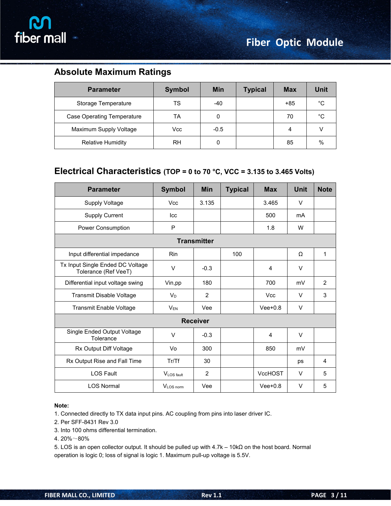

## **Absolute Maximum Ratings**

| <b>Parameter</b>                  | <b>Symbol</b> | <b>Min</b> | <b>Typical</b> | <b>Max</b> | <b>Unit</b> |
|-----------------------------------|---------------|------------|----------------|------------|-------------|
| Storage Temperature               | <b>TS</b>     | $-40$      |                | $+85$      | °C          |
| <b>Case Operating Temperature</b> | <b>TA</b>     |            |                | 70         | °C          |
| Maximum Supply Voltage            | Vcc           | $-0.5$     |                | 4          |             |
| <b>Relative Humidity</b>          | <b>RH</b>     | 0          |                | 85         | $\%$        |

#### **Electrical Characteristics (TOP = 0 to 70 °C, VCC = 3.135 to 3.465 Volts)**

| <b>Parameter</b>                                         | <b>Symbol</b> | <b>Min</b>         | <b>Typical</b> | <b>Max</b>     | Unit   | <b>Note</b>    |
|----------------------------------------------------------|---------------|--------------------|----------------|----------------|--------|----------------|
| <b>Supply Voltage</b>                                    | <b>Vcc</b>    | 3.135              |                | 3.465          | V      |                |
| <b>Supply Current</b>                                    | Icc           |                    |                | 500            | mA     |                |
| Power Consumption                                        | $\mathsf P$   |                    |                | 1.8            | W      |                |
|                                                          |               | <b>Transmitter</b> |                |                |        |                |
| Input differential impedance                             | <b>Rin</b>    |                    | 100            |                | Ω      | 1              |
| Tx Input Single Ended DC Voltage<br>Tolerance (Ref VeeT) | $\vee$        | $-0.3$             |                | 4              | V      |                |
| Differential input voltage swing                         | Vin,pp        | 180                |                | 700            | mV     | 2              |
| Transmit Disable Voltage                                 | $V_D$         | $\overline{2}$     |                | <b>Vcc</b>     | $\vee$ | 3              |
| Transmit Enable Voltage                                  | $V_{EN}$      | Vee                |                | $Vee+0.8$      | V      |                |
|                                                          |               | <b>Receiver</b>    |                |                |        |                |
| Single Ended Output Voltage<br>Tolerance                 | V             | $-0.3$             |                | 4              | $\vee$ |                |
| Rx Output Diff Voltage                                   | Vo            | 300                |                | 850            | mV     |                |
| Rx Output Rise and Fall Time                             | Tr/Tf         | 30                 |                |                | ps     | $\overline{4}$ |
| <b>LOS Fault</b>                                         | VLOS fault    | $\overline{2}$     |                | <b>VccHOST</b> | V      | 5              |
| <b>LOS Normal</b>                                        | VLOS norm     | Vee                |                | $Vee+0.8$      | $\vee$ | 5              |

#### **Note:**

1. Connected directly to TX data input pins. AC coupling from pins into laser driver IC.

2. Per SFF-8431 Rev 3.0

3. Into 100 ohms differential termination.

4. 20%~80%

5. LOS is an open collector output. It should be pulled up with  $4.7k - 10kΩ$  on the host board. Normal operation is logic 0; loss of signal is logic 1. Maximum pull-up voltage is 5.5V.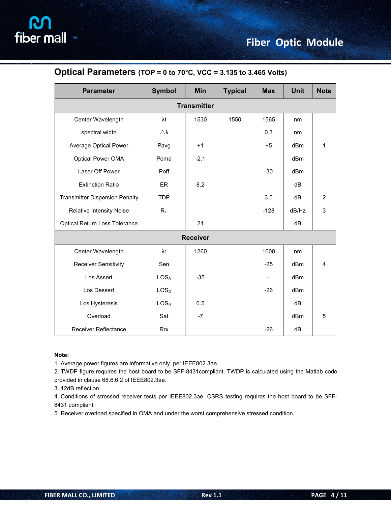| <b>Parameter</b>                      | <b>Symbol</b>       | Min    | <b>Typical</b> | <b>Max</b>     | <b>Unit</b> | <b>Note</b>    |  |  |
|---------------------------------------|---------------------|--------|----------------|----------------|-------------|----------------|--|--|
| <b>Transmitter</b>                    |                     |        |                |                |             |                |  |  |
| Center Wavelength                     | $\lambda t$         | 1530   | 1550           | 1565           | nm          |                |  |  |
| spectral width                        | $\triangle \lambda$ |        |                | 0.3            | nm          |                |  |  |
| Average Optical Power                 | Pavg                | $+1$   |                | $+5$           | dBm         | $\mathbf{1}$   |  |  |
| Optical Power OMA                     | Poma                | $-2.1$ |                |                | dBm         |                |  |  |
| Laser Off Power                       | Poff                |        |                | $-30$          | dBm         |                |  |  |
| <b>Extinction Ratio</b>               | ER                  | 8.2    |                |                | dB          |                |  |  |
| <b>Transmitter Dispersion Penalty</b> | <b>TDP</b>          |        |                | 3.0            | dB          | $\overline{2}$ |  |  |
| <b>Relative Intensity Noise</b>       | $R_{in}$            |        |                | $-128$         | dB/Hz       | 3              |  |  |
| <b>Optical Return Loss Tolerance</b>  |                     | 21     |                |                | dB          |                |  |  |
| <b>Receiver</b>                       |                     |        |                |                |             |                |  |  |
| Center Wavelength                     | λr                  | 1260   |                | 1600           | nm          |                |  |  |
| <b>Receiver Sensitivity</b>           | Sen                 |        |                | $-25$          | dBm         | $\overline{4}$ |  |  |
| Los Assert                            | <b>LOSA</b>         | $-35$  |                | $\overline{a}$ | dBm         |                |  |  |
| Los Dessert                           | LOS <sub>D</sub>    |        |                | $-26$          | dBm         |                |  |  |
| Los Hysteresis                        | LOS <sub>H</sub>    | 0.5    |                |                | dB          |                |  |  |
| Overload                              | Sat                 | $-7$   |                |                | dBm         | 5              |  |  |
| <b>Receiver Reflectance</b>           | <b>Rrx</b>          |        |                | $-26$          | dB          |                |  |  |

#### **Optical Parameters (TOP = 0 to 70°C, VCC = 3.135 to 3.465 Volts)**

#### **Note:**

1. Average power figures are informative only, per IEEE802.3ae.

2. TWDP figure requires the host board to be SFF-8431compliant. TWDP is calculated using the Matlab code provided in clause 68.6.6.2 of IEEE802.3ae.

3. 12dB reflection.

4. Conditions of stressed receiver tests per IEEE802.3ae. CSRS testing requires the host board to be SFF- 8431 compliant.

5. Receiver overload specified in OMA and under the worst comprehensive stressed condition.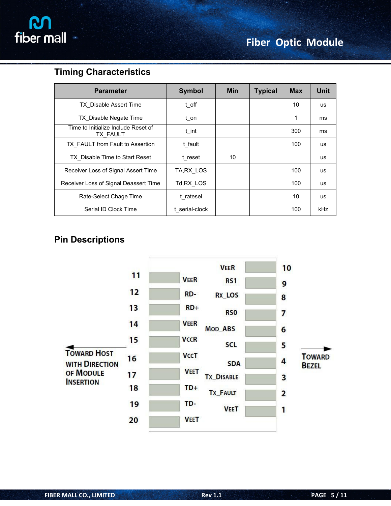

### **Timing Characteristics**

| <b>Parameter</b>                                | <b>Symbol</b>       | <b>Min</b> | <b>Typical</b> | <b>Max</b> | Unit       |
|-------------------------------------------------|---------------------|------------|----------------|------------|------------|
| <b>TX</b> Disable Assert Time                   | $t$ <sub>O</sub> ff |            |                | 10         | us.        |
| TX Disable Negate Time                          | t on                |            |                | 1          | ms         |
| Time to Initialize Include Reset of<br>TX FAULT | $t$ _int            |            |                | 300        | ms         |
| TX FAULT from Fault to Assertion                | t fault             |            |                | 100        | us.        |
| TX Disable Time to Start Reset                  | t reset             | 10         |                |            | us         |
| Receiver Loss of Signal Assert Time             | TA, RX LOS          |            |                | 100        | us.        |
| Receiver Loss of Signal Deassert Time           | Td, RX LOS          |            |                | 100        | us         |
| Rate-Select Chage Time                          | t ratesel           |            |                | 10         | us         |
| Serial ID Clock Time                            | t serial-clock      |            |                | 100        | <b>kHz</b> |

## **Pin Descriptions**

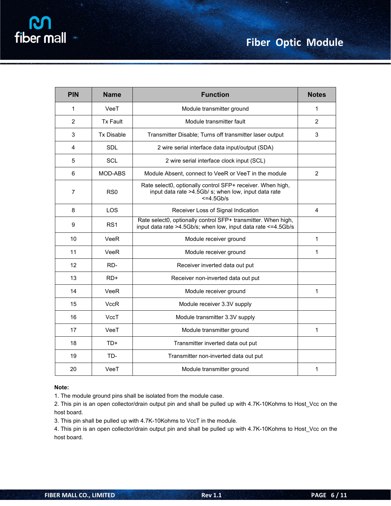| <b>PIN</b>     | <b>Name</b>       | <b>Function</b>                                                                                                                       | <b>Notes</b>   |
|----------------|-------------------|---------------------------------------------------------------------------------------------------------------------------------------|----------------|
| $\mathbf{1}$   | VeeT              | Module transmitter ground                                                                                                             | $\mathbf{1}$   |
| $\overline{2}$ | <b>Tx Fault</b>   | Module transmitter fault                                                                                                              | $\overline{2}$ |
| $\mathbf{3}$   | <b>Tx Disable</b> | Transmitter Disable; Turns off transmitter laser output                                                                               | $\mathfrak{S}$ |
| $\overline{4}$ | <b>SDL</b>        | 2 wire serial interface data input/output (SDA)                                                                                       |                |
| 5              | <b>SCL</b>        | 2 wire serial interface clock input (SCL)                                                                                             |                |
| 6              | MOD-ABS           | Module Absent, connect to VeeR or VeeT in the module                                                                                  | $\overline{2}$ |
| $\overline{7}$ | R <sub>S0</sub>   | Rate select0, optionally control SFP+ receiver. When high,<br>input data rate >4.5Gb/ s; when low, input data rate<br>$\leq$ =4.5Gb/s |                |
| 8              | <b>LOS</b>        | Receiver Loss of Signal Indication                                                                                                    | 4              |
| 9              | RS <sub>1</sub>   | Rate select0, optionally control SFP+ transmitter. When high,<br>input data rate >4.5Gb/s; when low, input data rate <=4.5Gb/s        |                |
| 10             | VeeR              | Module receiver ground                                                                                                                | 1              |
| 11             | VeeR              | Module receiver ground                                                                                                                | $\mathbf{1}$   |
| 12             | RD-               | Receiver inverted data out put                                                                                                        |                |
| 13             | RD+               | Receiver non-inverted data out put                                                                                                    |                |
| 14             | VeeR              | Module receiver ground                                                                                                                | $\mathbf{1}$   |
| 15             | <b>VccR</b>       | Module receiver 3.3V supply                                                                                                           |                |
| 16             | VccT              | Module transmitter 3.3V supply                                                                                                        |                |
| 17             | VeeT              | Module transmitter ground                                                                                                             | $\mathbf{1}$   |
| 18             | TD+               | Transmitter inverted data out put                                                                                                     |                |
| 19             | TD-               | Transmitter non-inverted data out put                                                                                                 |                |
| 20             | VeeT              | Module transmitter ground                                                                                                             | $\mathbf{1}$   |

#### **Note:**

1. The module ground pins shall be isolated from the module case.

2. This pin is an open collector/drain output pin and shall be pulled up with 4.7K-10Kohms to Host\_Vcc on the host board.

3. This pin shall be pulled up with 4.7K-10Kohms to VccT in the module.

4. This pin is an open collector/drain output pin and shall be pulled up with 4.7K-10Kohms to Host\_Vcc on the host board.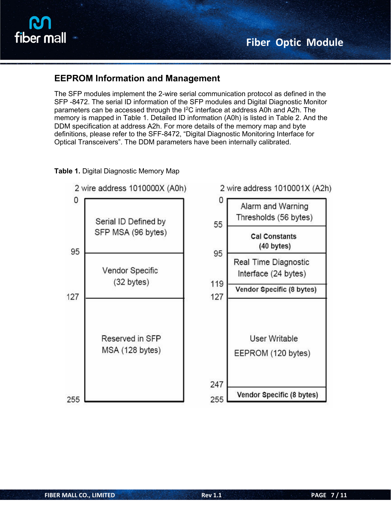#### **EEPROM Information and Management**

The SFP modules implement the 2-wire serial communication protocol as defined in the SFP -8472. The serial ID information of the SFP modules and Digital Diagnostic Monitor parameters can be accessed through the I<sup>2</sup>C interface at address A0h and A2h. The memory is mapped in Table 1. Detailed ID information (A0h) is listed in Table 2. And the DDM specification at address A2h. For more details of the memory map and byte definitions, please refer to the SFF-8472, "Digital Diagnostic Monitoring Interface for Optical Transceivers". The DDM parameters have been internally calibrated.

#### **Table 1.** Digital Diagnostic Memory Map

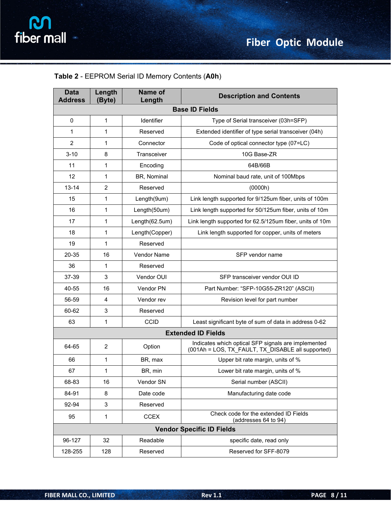| <b>Data</b><br><b>Address</b> | Length<br>(Byte) | <b>Name of</b><br>Length | <b>Description and Contents</b>                                                                          |  |  |  |
|-------------------------------|------------------|--------------------------|----------------------------------------------------------------------------------------------------------|--|--|--|
| <b>Base ID Fields</b>         |                  |                          |                                                                                                          |  |  |  |
| $\mathbf 0$                   | $\mathbf{1}$     | <b>Identifier</b>        | Type of Serial transceiver (03h=SFP)                                                                     |  |  |  |
| 1                             | $\mathbf{1}$     | Reserved                 | Extended identifier of type serial transceiver (04h)                                                     |  |  |  |
| 2                             | $\mathbf 1$      | Connector                | Code of optical connector type (07=LC)                                                                   |  |  |  |
| $3 - 10$                      | 8                | Transceiver              | 10G Base-ZR                                                                                              |  |  |  |
| 11                            | 1                | Encoding                 | 64B/66B                                                                                                  |  |  |  |
| 12                            | 1                | BR, Nominal              | Nominal baud rate, unit of 100Mbps                                                                       |  |  |  |
| $13 - 14$                     | $\overline{2}$   | Reserved                 | (0000h)                                                                                                  |  |  |  |
| 15                            | 1                | Length(9um)              | Link length supported for 9/125um fiber, units of 100m                                                   |  |  |  |
| 16                            | 1                | Length(50um)             | Link length supported for 50/125um fiber, units of 10m                                                   |  |  |  |
| 17                            | $\mathbf{1}$     | Length(62.5um)           | Link length supported for 62.5/125um fiber, units of 10m                                                 |  |  |  |
| 18                            | $\mathbf{1}$     | Length(Copper)           | Link length supported for copper, units of meters                                                        |  |  |  |
| 19                            | $\mathbf{1}$     | Reserved                 |                                                                                                          |  |  |  |
| 20-35                         | 16               | Vendor Name              | SFP vendor name                                                                                          |  |  |  |
| 36                            | $\mathbf{1}$     | Reserved                 |                                                                                                          |  |  |  |
| 37-39                         | 3                | Vendor OUI               | SFP transceiver vendor OUI ID                                                                            |  |  |  |
| 40-55                         | 16               | Vendor PN                | Part Number: "SFP-10G55-ZR120" (ASCII)                                                                   |  |  |  |
| 56-59                         | 4                | Vendor rev               | Revision level for part number                                                                           |  |  |  |
| 60-62                         | 3                | Reserved                 |                                                                                                          |  |  |  |
| 63                            | 1                | CCID                     | Least significant byte of sum of data in address 0-62                                                    |  |  |  |
|                               |                  |                          | <b>Extended ID Fields</b>                                                                                |  |  |  |
| 64-65                         | $\overline{c}$   | Option                   | Indicates which optical SFP signals are implemented<br>(001Ah = LOS, TX_FAULT, TX_DISABLE all supported) |  |  |  |
| 66                            | $\mathbf{1}$     | BR, max                  | Upper bit rate margin, units of %                                                                        |  |  |  |
| 67                            | $\mathbf{1}$     | BR, min                  | Lower bit rate margin, units of %                                                                        |  |  |  |
| 68-83                         | 16               | Vendor SN                | Serial number (ASCII)                                                                                    |  |  |  |
| 84-91                         | 8                | Date code                | Manufacturing date code                                                                                  |  |  |  |
| 92-94                         | 3                | Reserved                 |                                                                                                          |  |  |  |
| 95                            | 1                | <b>CCEX</b>              | Check code for the extended ID Fields<br>(addresses 64 to 94)                                            |  |  |  |
|                               |                  |                          | <b>Vendor Specific ID Fields</b>                                                                         |  |  |  |
| 96-127                        | 32               | Readable                 | specific date, read only                                                                                 |  |  |  |
| 128-255                       | 128              | Reserved                 | Reserved for SFF-8079                                                                                    |  |  |  |
|                               |                  |                          |                                                                                                          |  |  |  |

#### **Table 2** - EEPROM Serial ID Memory Contents (**A0h**)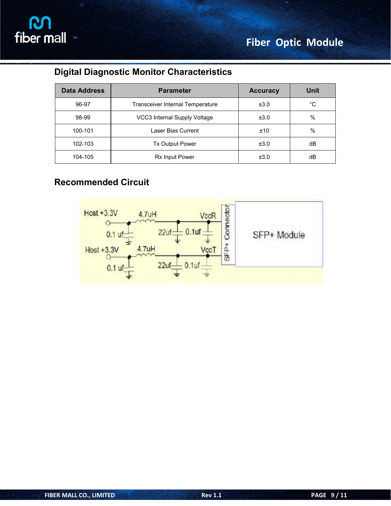

## **Digital Diagnostic Monitor Characteristics**

| <b>Data Address</b> | <b>Parameter</b>                        | <b>Accuracy</b> | <b>Unit</b> |
|---------------------|-----------------------------------------|-----------------|-------------|
| 96-97               | <b>Transceiver Internal Temperature</b> | ±3.0            | °C          |
| 98-99               | VCC3 Internal Supply Voltage            | ±3.0            | %           |
| 100-101             | Laser Bias Current                      | ±10             | %           |
| 102-103             | Tx Output Power                         | ±3.0            | dB          |
| 104-105             | Rx Input Power                          | ±3.0            | dB          |

## **Recommended Circuit**

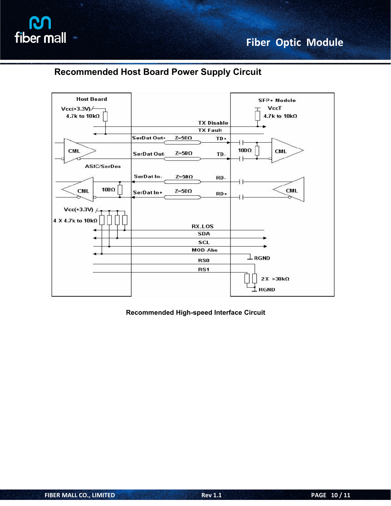

### **Recommended Host Board Power Supply Circuit**



**Recommended High-speed Interface Circuit**